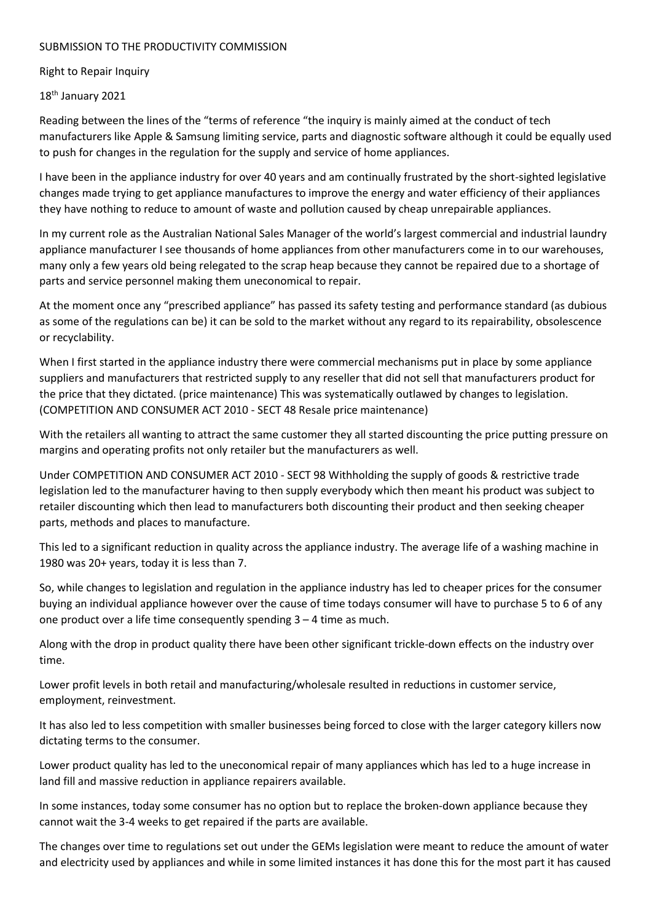## SUBMISSION TO THE PRODUCTIVITY COMMISSION

## Right to Repair Inquiry

## 18<sup>th</sup> January 2021

Reading between the lines of the "terms of reference "the inquiry is mainly aimed at the conduct of tech manufacturers like Apple & Samsung limiting service, parts and diagnostic software although it could be equally used to push for changes in the regulation for the supply and service of home appliances.

I have been in the appliance industry for over 40 years and am continually frustrated by the short-sighted legislative changes made trying to get appliance manufactures to improve the energy and water efficiency of their appliances they have nothing to reduce to amount of waste and pollution caused by cheap unrepairable appliances.

In my current role as the Australian National Sales Manager of the world's largest commercial and industrial laundry appliance manufacturer I see thousands of home appliances from other manufacturers come in to our warehouses, many only a few years old being relegated to the scrap heap because they cannot be repaired due to a shortage of parts and service personnel making them uneconomical to repair.

At the moment once any "prescribed appliance" has passed its safety testing and performance standard (as dubious as some of the regulations can be) it can be sold to the market without any regard to its repairability, obsolescence or recyclability.

When I first started in the appliance industry there were commercial mechanisms put in place by some appliance suppliers and manufacturers that restricted supply to any reseller that did not sell that manufacturers product for the price that they dictated. (price maintenance) This was systematically outlawed by changes to legislation. (COMPETITION AND CONSUMER ACT 2010 - SECT 48 Resale price maintenance)

With the retailers all wanting to attract the same customer they all started discounting the price putting pressure on margins and operating profits not only retailer but the manufacturers as well.

Under COMPETITION AND CONSUMER ACT 2010 - SECT 98 Withholding the supply of goods & restrictive trade legislation led to the manufacturer having to then supply everybody which then meant his product was subject to retailer discounting which then lead to manufacturers both discounting their product and then seeking cheaper parts, methods and places to manufacture.

This led to a significant reduction in quality across the appliance industry. The average life of a washing machine in 1980 was 20+ years, today it is less than 7.

So, while changes to legislation and regulation in the appliance industry has led to cheaper prices for the consumer buying an individual appliance however over the cause of time todays consumer will have to purchase 5 to 6 of any one product over a life time consequently spending 3 – 4 time as much.

Along with the drop in product quality there have been other significant trickle-down effects on the industry over time.

Lower profit levels in both retail and manufacturing/wholesale resulted in reductions in customer service, employment, reinvestment.

It has also led to less competition with smaller businesses being forced to close with the larger category killers now dictating terms to the consumer.

Lower product quality has led to the uneconomical repair of many appliances which has led to a huge increase in land fill and massive reduction in appliance repairers available.

In some instances, today some consumer has no option but to replace the broken-down appliance because they cannot wait the 3-4 weeks to get repaired if the parts are available.

The changes over time to regulations set out under the GEMs legislation were meant to reduce the amount of water and electricity used by appliances and while in some limited instances it has done this for the most part it has caused